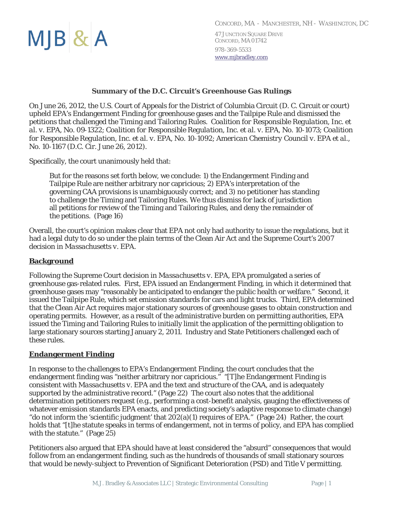$MJB$ & $A$ 

# **Summary of the D.C. Circuit's Greenhouse Gas Rulings**

On June 26, 2012, the U.S. Court of Appeals for the District of Columbia Circuit (D. C. Circuit or court) upheld EPA's Endangerment Finding for greenhouse gases and the Tailpipe Rule and dismissed the petitions that challenged the Timing and Tailoring Rules. *Coalition for Responsible Regulation, Inc. et al. v. EPA*, No. 09‐1322; *Coalition for Responsible Regulation, Inc. et al. v. EPA*, No. 10‐1073; *Coalition for Responsible Regulation, Inc. et al. v. EPA*, No. 10‐1092; *American Chemistry Council v. EPA et al*., No. 10‐1167 (D.C. Cir. June 26, 2012).

Specifically, the court unanimously held that:

But for the reasons set forth below, we conclude: 1) the Endangerment Finding and Tailpipe Rule are neither arbitrary nor capricious; 2) EPA's interpretation of the governing CAA provisions is unambiguously correct; and 3) no petitioner has standing to challenge the Timing and Tailoring Rules. We thus dismiss for lack of jurisdiction all petitions for review of the Timing and Tailoring Rules, and deny the remainder of the petitions. (Page 16)

Overall, the court's opinion makes clear that EPA not only had authority to issue the regulations, but it had a legal duty to do so under the plain terms of the Clean Air Act and the Supreme Court's 2007 decision in *Massachusetts v. EPA*.

### **Background**

Following the Supreme Court decision in *Massachusetts v. EPA*, EPA promulgated a series of greenhouse gas-related rules. First, EPA issued an Endangerment Finding, in which it determined that greenhouse gases may "reasonably be anticipated to endanger the public health or welfare." Second, it issued the Tailpipe Rule, which set emission standards for cars and light trucks. Third, EPA determined that the Clean Air Act requires major stationary sources of greenhouse gases to obtain construction and operating permits. However, as a result of the administrative burden on permitting authorities, EPA issued the Timing and Tailoring Rules to initially limit the application of the permitting obligation to large stationary sources starting January 2, 2011. Industry and State Petitioners challenged each of these rules.

#### **Endangerment Finding**

In response to the challenges to EPA's Endangerment Finding, the court concludes that the endangerment finding was "neither arbitrary nor capricious." "[T]he Endangerment Finding is consistent with *Massachusetts v. EPA* and the text and structure of the CAA, and is adequately supported by the administrative record." (Page 22) The court also notes that the additional determination petitioners request (e.g., performing a cost-benefit analysis, gauging the effectiveness of whatever emission standards EPA enacts, and predicting society's adaptive response to climate change) "do not inform the 'scientific judgment' that  $202(a)(1)$  requires of EPA." (Page 24) Rather, the court holds that "[t]he statute speaks in terms of endangerment, not in terms of policy, and EPA has complied with the statute." (Page 25)

Petitioners also argued that EPA should have at least considered the "absurd" consequences that would follow from an endangerment finding, such as the hundreds of thousands of small stationary sources that would be newly-subject to Prevention of Significant Deterioration (PSD) and Title V permitting.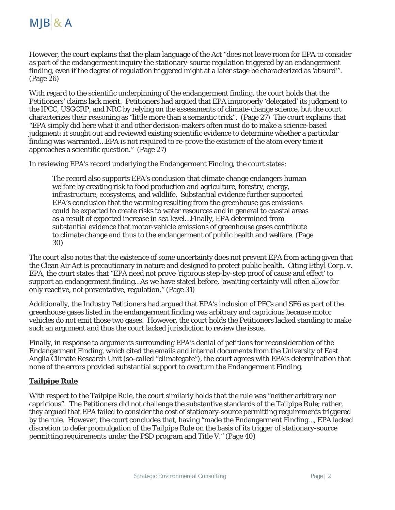

However, the court explains that the plain language of the Act "does not leave room for EPA to consider as part of the endangerment inquiry the stationary-source regulation triggered by an endangerment finding, even if the degree of regulation triggered might at a later stage be characterized as 'absurd'". (Page 26)

With regard to the scientific underpinning of the endangerment finding, the court holds that the Petitioners' claims lack merit. Petitioners had argued that EPA improperly 'delegated' its judgment to the IPCC, USGCRP, and NRC by relying on the assessments of climate-change science, but the court characterizes their reasoning as "little more than a semantic trick". (Page 27) The court explains that "EPA simply did here what it and other decision-makers often must do to make a science-based judgment: it sought out and reviewed existing scientific evidence to determine whether a particular finding was warranted…EPA is not required to re-prove the existence of the atom every time it approaches a scientific question." (Page 27)

In reviewing EPA's record underlying the Endangerment Finding, the court states:

The record also supports EPA's conclusion that climate change endangers human welfare by creating risk to food production and agriculture, forestry, energy, infrastructure, ecosystems, and wildlife. Substantial evidence further supported EPA's conclusion that the warming resulting from the greenhouse gas emissions could be expected to create risks to water resources and in general to coastal areas as a result of expected increase in sea level…Finally, EPA determined from substantial evidence that motor-vehicle emissions of greenhouse gases contribute to climate change and thus to the endangerment of public health and welfare. (Page 30)

The court also notes that the existence of some uncertainty does not prevent EPA from acting given that the Clean Air Act is precautionary in nature and designed to protect public health. Citing *Ethyl Corp. v. EPA*, the court states that "EPA need not prove 'rigorous step-by-step proof of cause and effect' to support an endangerment finding…As we have stated before, 'awaiting certainty will often allow for only reactive, not preventative, regulation." (Page 31)

Additionally, the Industry Petitioners had argued that EPA's inclusion of PFCs and SF6 as part of the greenhouse gases listed in the endangerment finding was arbitrary and capricious because motor vehicles do not emit those two gases. However, the court holds the Petitioners lacked standing to make such an argument and thus the court lacked jurisdiction to review the issue.

Finally, in response to arguments surrounding EPA's denial of petitions for reconsideration of the Endangerment Finding, which cited the emails and internal documents from the University of East Anglia Climate Research Unit (so-called "climategate"), the court agrees with EPA's determination that none of the errors provided substantial support to overturn the Endangerment Finding.

### **Tailpipe Rule**

With respect to the Tailpipe Rule, the court similarly holds that the rule was "neither arbitrary nor capricious". The Petitioners did not challenge the substantive standards of the Tailpipe Rule; rather, they argued that EPA failed to consider the cost of stationary-source permitting requirements triggered by the rule. However, the court concludes that, having "made the Endangerment Finding…, EPA lacked discretion to defer promulgation of the Tailpipe Rule on the basis of its trigger of stationary-source permitting requirements under the PSD program and Title V." (Page 40)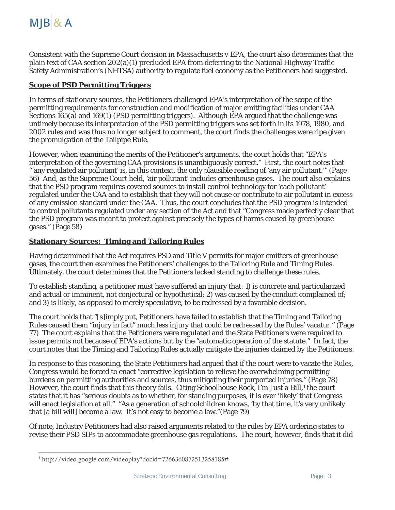Consistent with the Supreme Court decision in *Massachusetts v EPA*, the court also determines that the plain text of CAA section 202(a)(1) precluded EPA from deferring to the National Highway Traffic Safety Administration's (NHTSA) authority to regulate fuel economy as the Petitioners had suggested.

# **Scope of PSD Permitting Triggers**

In terms of stationary sources, the Petitioners challenged EPA's interpretation of the scope of the permitting requirements for construction and modification of major emitting facilities under CAA Sections 165(a) and 169(1) (PSD permitting triggers). Although EPA argued that the challenge was untimely because its interpretation of the PSD permitting triggers was set forth in its 1978, 1980, and 2002 rules and was thus no longer subject to comment, the court finds the challenges were ripe given the promulgation of the Tailpipe Rule.

However, when examining the merits of the Petitioner's arguments, the court holds that "EPA's interpretation of the governing CAA provisions is unambiguously correct." First, the court notes that "'any regulated air pollutant' is, in this context, the only plausible reading of 'any air pollutant.'" (Page 56) And, as the Supreme Court held, 'air pollutant' includes greenhouse gases. The court also explains that the PSD program requires covered sources to install control technology for 'each pollutant' regulated under the CAA and to establish that they will not cause or contribute to air pollutant in excess of any emission standard under the CAA. Thus, the court concludes that the PSD program is intended to control pollutants regulated under any section of the Act and that "Congress made perfectly clear that the PSD program was meant to protect against precisely the types of harms caused by greenhouse gases." (Page 58)

# **Stationary Sources: Timing and Tailoring Rules**

Having determined that the Act requires PSD and Title V permits for major emitters of greenhouse gases, the court then examines the Petitioners' challenges to the Tailoring Rule and Timing Rules. Ultimately, the court determines that the Petitioners lacked standing to challenge these rules.

To establish standing, a petitioner must have suffered an injury that: 1) is concrete and particularized and actual or imminent, not conjectural or hypothetical; 2) was caused by the conduct complained of; and 3) is likely, as opposed to merely speculative, to be redressed by a favorable decision.

The court holds that "[s]imply put, Petitioners have failed to establish that the Timing and Tailoring Rules caused them "injury in fact" much less injury that could be redressed by the Rules' vacatur." (Page 77) The court explains that the Petitioners were regulated and the State Petitioners were required to issue permits not because of EPA's actions but by the "automatic operation of the statute." In fact, the court notes that the Timing and Tailoring Rules actually mitigate the injuries claimed by the Petitioners.

In response to this reasoning, the State Petitioners had argued that if the court were to vacate the Rules, Congress would be forced to enact "corrective legislation to relieve the overwhelming permitting burdens on permitting authorities and sources, thus mitigating their purported injuries." (Page 78) However, the court finds that this theory fails. Citing Schoolhouse Rock, I'm Just a Bill,<sup>1</sup> the court states that it has "serious doubts as to whether, for standing purposes, it is ever 'likely' that Congress will enact legislation at all." "As a generation of schoolchildren knows, 'by that time, it's very unlikely that [a bill will] become a law. It's not easy to become a law."(Page 79)

Of note, Industry Petitioners had also raised arguments related to the rules by EPA ordering states to revise their PSD SIPs to accommodate greenhouse gas regulations. The court, however, finds that it did

 $\overline{a}$ 

<sup>&</sup>lt;sup>1</sup> http://video.google.com/videoplay?docid=7266360872513258185#